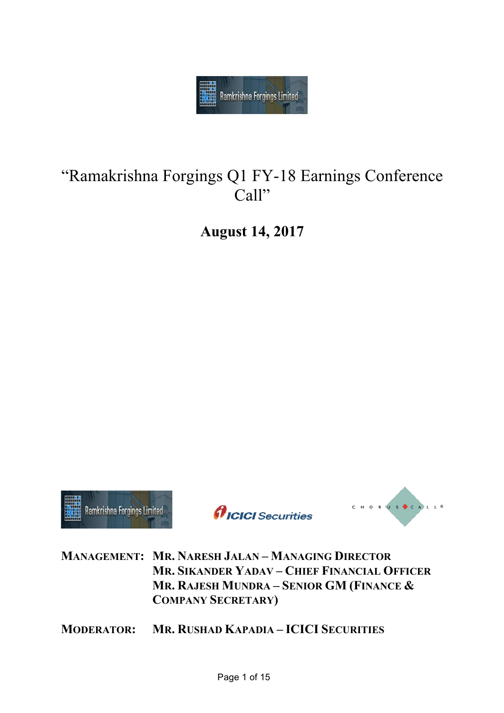

# "Ramakrishna Forgings Q1 FY-18 Earnings Conference Call"

**August 14, 2017**



*AICICI* Securities



**MANAGEMENT: MR. NARESH JALAN – MANAGING DIRECTOR MR. SIKANDER YADAV – CHIEF FINANCIAL OFFICER MR. RAJESH MUNDRA – SENIOR GM (FINANCE & COMPANY SECRETARY)**

**MODERATOR: MR. RUSHAD KAPADIA – ICICI SECURITIES**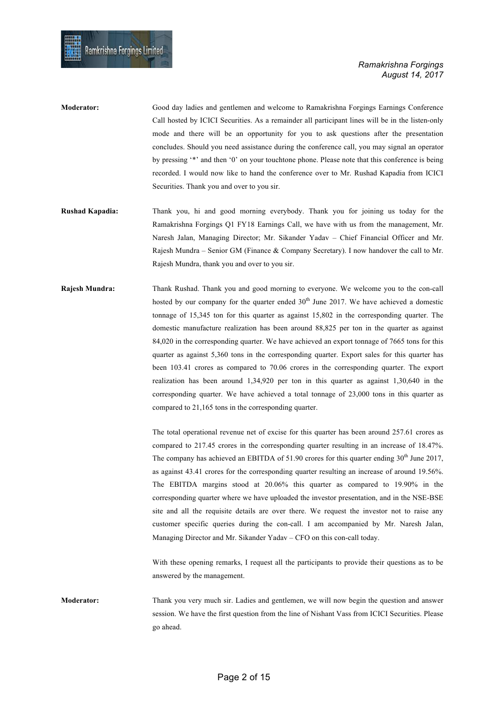| <b>Moderator:</b>     | Good day ladies and gentlemen and welcome to Ramakrishna Forgings Earnings Conference            |
|-----------------------|--------------------------------------------------------------------------------------------------|
|                       | Call hosted by ICICI Securities. As a remainder all participant lines will be in the listen-only |
|                       | mode and there will be an opportunity for you to ask questions after the presentation            |
|                       | concludes. Should you need assistance during the conference call, you may signal an operator     |
|                       | by pressing "*" and then '0" on your touchtone phone. Please note that this conference is being  |
|                       | recorded. I would now like to hand the conference over to Mr. Rushad Kapadia from ICICI          |
|                       | Securities. Thank you and over to you sir.                                                       |
|                       |                                                                                                  |
| Duched <i>Venedie</i> | Then you hi and good morning quartizedy. Then you for joining us today for the                   |

- **Rushad Kapadia:** Thank you, hi and good morning everybody. Thank you for joining us today for the Ramakrishna Forgings Q1 FY18 Earnings Call, we have with us from the management, Mr. Naresh Jalan, Managing Director; Mr. Sikander Yadav – Chief Financial Officer and Mr. Rajesh Mundra – Senior GM (Finance & Company Secretary). I now handover the call to Mr. Rajesh Mundra, thank you and over to you sir.
- **Rajesh Mundra:** Thank Rushad. Thank you and good morning to everyone. We welcome you to the con-call hosted by our company for the quarter ended  $30<sup>th</sup>$  June 2017. We have achieved a domestic tonnage of 15,345 ton for this quarter as against 15,802 in the corresponding quarter. The domestic manufacture realization has been around 88,825 per ton in the quarter as against 84,020 in the corresponding quarter. We have achieved an export tonnage of 7665 tons for this quarter as against 5,360 tons in the corresponding quarter. Export sales for this quarter has been 103.41 crores as compared to 70.06 crores in the corresponding quarter. The export realization has been around 1,34,920 per ton in this quarter as against 1,30,640 in the corresponding quarter. We have achieved a total tonnage of 23,000 tons in this quarter as compared to 21,165 tons in the corresponding quarter.

The total operational revenue net of excise for this quarter has been around 257.61 crores as compared to 217.45 crores in the corresponding quarter resulting in an increase of 18.47%. The company has achieved an EBITDA of 51.90 crores for this quarter ending  $30<sup>th</sup>$  June 2017, as against 43.41 crores for the corresponding quarter resulting an increase of around 19.56%. The EBITDA margins stood at 20.06% this quarter as compared to 19.90% in the corresponding quarter where we have uploaded the investor presentation, and in the NSE-BSE site and all the requisite details are over there. We request the investor not to raise any customer specific queries during the con-call. I am accompanied by Mr. Naresh Jalan, Managing Director and Mr. Sikander Yadav – CFO on this con-call today.

With these opening remarks, I request all the participants to provide their questions as to be answered by the management.

**Moderator:** Thank you very much sir. Ladies and gentlemen, we will now begin the question and answer session. We have the first question from the line of Nishant Vass from ICICI Securities. Please go ahead.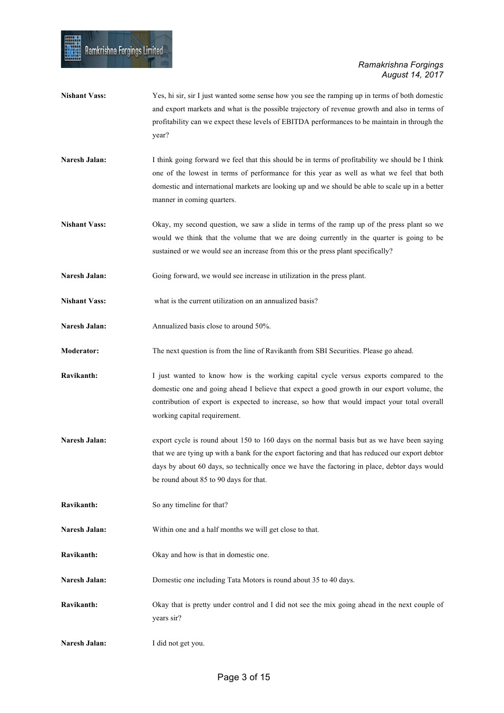- **Nishant Vass:** Yes, hi sir, sir I just wanted some sense how you see the ramping up in terms of both domestic and export markets and what is the possible trajectory of revenue growth and also in terms of profitability can we expect these levels of EBITDA performances to be maintain in through the year?
- **Naresh Jalan:** I think going forward we feel that this should be in terms of profitability we should be I think one of the lowest in terms of performance for this year as well as what we feel that both domestic and international markets are looking up and we should be able to scale up in a better manner in coming quarters.
- **Nishant Vass:** Okay, my second question, we saw a slide in terms of the ramp up of the press plant so we would we think that the volume that we are doing currently in the quarter is going to be sustained or we would see an increase from this or the press plant specifically?
- **Naresh Jalan:** Going forward, we would see increase in utilization in the press plant.
- **Nishant Vass:** what is the current utilization on an annualized basis?
- Naresh Jalan: Annualized basis close to around 50%.

- **Moderator:** The next question is from the line of Ravikanth from SBI Securities. Please go ahead.
- **Ravikanth:** I just wanted to know how is the working capital cycle versus exports compared to the domestic one and going ahead I believe that expect a good growth in our export volume, the contribution of export is expected to increase, so how that would impact your total overall working capital requirement.
- Naresh Jalan: export cycle is round about 150 to 160 days on the normal basis but as we have been saying that we are tying up with a bank for the export factoring and that has reduced our export debtor days by about 60 days, so technically once we have the factoring in place, debtor days would be round about 85 to 90 days for that.
- **Ravikanth:** So any timeline for that?
- **Naresh Jalan:** Within one and a half months we will get close to that.
- **Ravikanth:** Okay and how is that in domestic one.
- **Naresh Jalan:** Domestic one including Tata Motors is round about 35 to 40 days.
- **Ravikanth:** Okay that is pretty under control and I did not see the mix going ahead in the next couple of years sir?
- **Naresh Jalan:** I did not get you.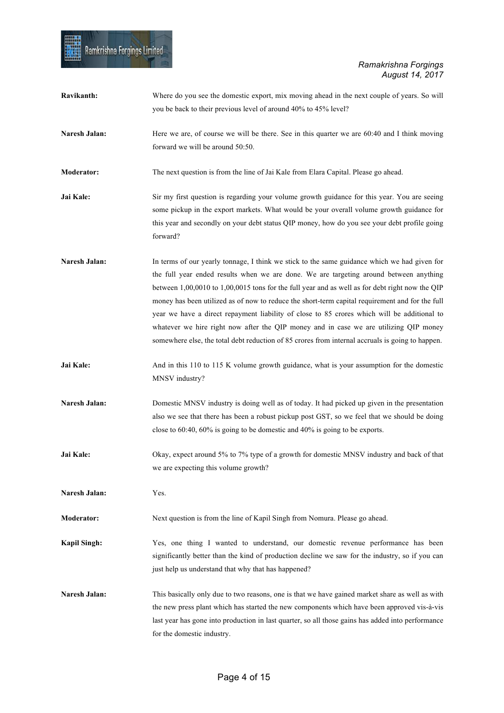| Ravikanth:           | Where do you see the domestic export, mix moving ahead in the next couple of years. So will<br>you be back to their previous level of around 40% to 45% level?                                                                                                                                                                                                                                                                                                                                                                                                                                                                                                                           |
|----------------------|------------------------------------------------------------------------------------------------------------------------------------------------------------------------------------------------------------------------------------------------------------------------------------------------------------------------------------------------------------------------------------------------------------------------------------------------------------------------------------------------------------------------------------------------------------------------------------------------------------------------------------------------------------------------------------------|
| Naresh Jalan:        | Here we are, of course we will be there. See in this quarter we are 60:40 and I think moving<br>forward we will be around 50:50.                                                                                                                                                                                                                                                                                                                                                                                                                                                                                                                                                         |
| <b>Moderator:</b>    | The next question is from the line of Jai Kale from Elara Capital. Please go ahead.                                                                                                                                                                                                                                                                                                                                                                                                                                                                                                                                                                                                      |
| Jai Kale:            | Sir my first question is regarding your volume growth guidance for this year. You are seeing<br>some pickup in the export markets. What would be your overall volume growth guidance for<br>this year and secondly on your debt status QIP money, how do you see your debt profile going<br>forward?                                                                                                                                                                                                                                                                                                                                                                                     |
| <b>Naresh Jalan:</b> | In terms of our yearly tonnage, I think we stick to the same guidance which we had given for<br>the full year ended results when we are done. We are targeting around between anything<br>between 1,00,0010 to 1,00,0015 tons for the full year and as well as for debt right now the QIP<br>money has been utilized as of now to reduce the short-term capital requirement and for the full<br>year we have a direct repayment liability of close to 85 crores which will be additional to<br>whatever we hire right now after the QIP money and in case we are utilizing QIP money<br>somewhere else, the total debt reduction of 85 crores from internal accruals is going to happen. |
| Jai Kale:            | And in this 110 to 115 K volume growth guidance, what is your assumption for the domestic<br>MNSV industry?                                                                                                                                                                                                                                                                                                                                                                                                                                                                                                                                                                              |
| Naresh Jalan:        | Domestic MNSV industry is doing well as of today. It had picked up given in the presentation<br>also we see that there has been a robust pickup post GST, so we feel that we should be doing<br>close to $60:40$ , $60\%$ is going to be domestic and $40\%$ is going to be exports.                                                                                                                                                                                                                                                                                                                                                                                                     |
| Jai Kale:            | Okay, expect around 5% to 7% type of a growth for domestic MNSV industry and back of that<br>we are expecting this volume growth?                                                                                                                                                                                                                                                                                                                                                                                                                                                                                                                                                        |
| Naresh Jalan:        | Yes.                                                                                                                                                                                                                                                                                                                                                                                                                                                                                                                                                                                                                                                                                     |
| <b>Moderator:</b>    | Next question is from the line of Kapil Singh from Nomura. Please go ahead.                                                                                                                                                                                                                                                                                                                                                                                                                                                                                                                                                                                                              |
| <b>Kapil Singh:</b>  | Yes, one thing I wanted to understand, our domestic revenue performance has been<br>significantly better than the kind of production decline we saw for the industry, so if you can<br>just help us understand that why that has happened?                                                                                                                                                                                                                                                                                                                                                                                                                                               |
| Naresh Jalan:        | This basically only due to two reasons, one is that we have gained market share as well as with<br>the new press plant which has started the new components which have been approved vis-à-vis<br>last year has gone into production in last quarter, so all those gains has added into performance<br>for the domestic industry.                                                                                                                                                                                                                                                                                                                                                        |

**HIER**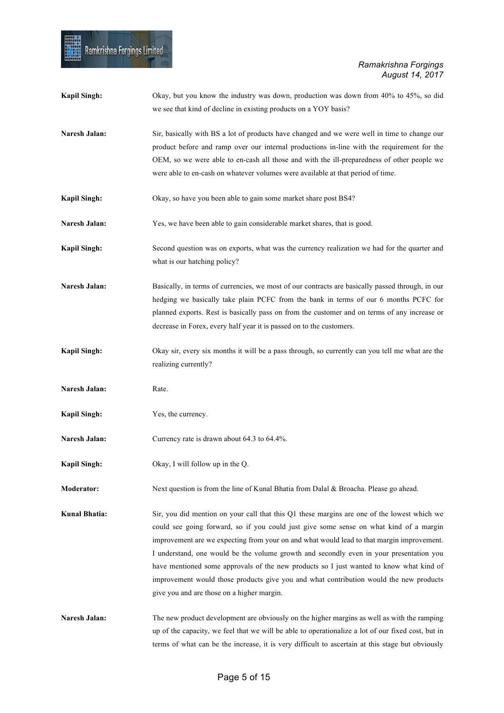| <b>Kapil Singh:</b>  | Okay, but you know the industry was down, production was down from 40% to 45%, so did<br>we see that kind of decline in existing products on a YOY basis?                                                                                                                                                                                                                                                                                                                                                                                                                                                        |
|----------------------|------------------------------------------------------------------------------------------------------------------------------------------------------------------------------------------------------------------------------------------------------------------------------------------------------------------------------------------------------------------------------------------------------------------------------------------------------------------------------------------------------------------------------------------------------------------------------------------------------------------|
| Naresh Jalan:        | Sir, basically with BS a lot of products have changed and we were well in time to change our<br>product before and ramp over our internal productions in-line with the requirement for the<br>OEM, so we were able to en-cash all those and with the ill-preparedness of other people we<br>were able to en-cash on whatever volumes were available at that period of time.                                                                                                                                                                                                                                      |
| <b>Kapil Singh:</b>  | Okay, so have you been able to gain some market share post BS4?                                                                                                                                                                                                                                                                                                                                                                                                                                                                                                                                                  |
| Naresh Jalan:        | Yes, we have been able to gain considerable market shares, that is good.                                                                                                                                                                                                                                                                                                                                                                                                                                                                                                                                         |
| <b>Kapil Singh:</b>  | Second question was on exports, what was the currency realization we had for the quarter and<br>what is our hatching policy?                                                                                                                                                                                                                                                                                                                                                                                                                                                                                     |
| Naresh Jalan:        | Basically, in terms of currencies, we most of our contracts are basically passed through, in our<br>hedging we basically take plain PCFC from the bank in terms of our 6 months PCFC for<br>planned exports. Rest is basically pass on from the customer and on terms of any increase or<br>decrease in Forex, every half year it is passed on to the customers.                                                                                                                                                                                                                                                 |
| <b>Kapil Singh:</b>  | Okay sir, every six months it will be a pass through, so currently can you tell me what are the<br>realizing currently?                                                                                                                                                                                                                                                                                                                                                                                                                                                                                          |
| Naresh Jalan:        | Rate.                                                                                                                                                                                                                                                                                                                                                                                                                                                                                                                                                                                                            |
| <b>Kapil Singh:</b>  | Yes, the currency.                                                                                                                                                                                                                                                                                                                                                                                                                                                                                                                                                                                               |
| Naresh Jalan:        | Currency rate is drawn about 64.3 to 64.4%.                                                                                                                                                                                                                                                                                                                                                                                                                                                                                                                                                                      |
| <b>Kapil Singh:</b>  | Okay, I will follow up in the Q.                                                                                                                                                                                                                                                                                                                                                                                                                                                                                                                                                                                 |
| Moderator:           | Next question is from the line of Kunal Bhatia from Dalal & Broacha. Please go ahead.                                                                                                                                                                                                                                                                                                                                                                                                                                                                                                                            |
| <b>Kunal Bhatia:</b> | Sir, you did mention on your call that this Q1 these margins are one of the lowest which we<br>could see going forward, so if you could just give some sense on what kind of a margin<br>improvement are we expecting from your on and what would lead to that margin improvement.<br>I understand, one would be the volume growth and secondly even in your presentation you<br>have mentioned some approvals of the new products so I just wanted to know what kind of<br>improvement would those products give you and what contribution would the new products<br>give you and are those on a higher margin. |
| Naresh Jalan:        | The new product development are obviously on the higher margins as well as with the ramping<br>up of the capacity, we feel that we will be able to operationalize a lot of our fixed cost, but in<br>terms of what can be the increase, it is very difficult to ascertain at this stage but obviously                                                                                                                                                                                                                                                                                                            |

Ramkrishna Forgings Limited

Ę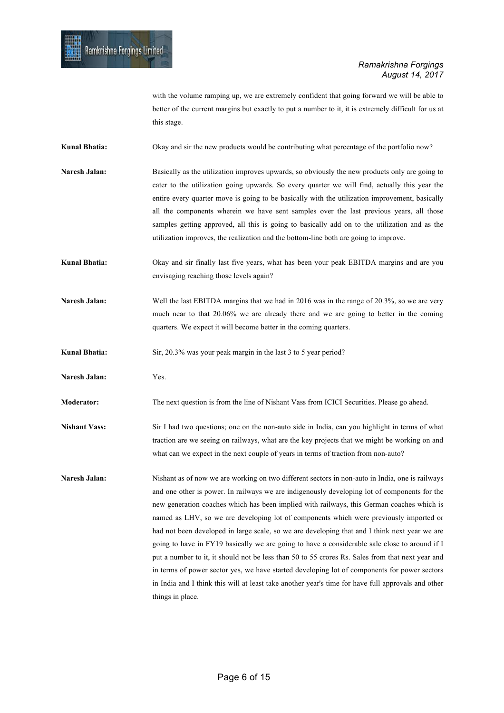with the volume ramping up, we are extremely confident that going forward we will be able to better of the current margins but exactly to put a number to it, it is extremely difficult for us at this stage.

**Kunal Bhatia:** Okay and sir the new products would be contributing what percentage of the portfolio now?

**Naresh Jalan:** Basically as the utilization improves upwards, so obviously the new products only are going to cater to the utilization going upwards. So every quarter we will find, actually this year the entire every quarter move is going to be basically with the utilization improvement, basically all the components wherein we have sent samples over the last previous years, all those samples getting approved, all this is going to basically add on to the utilization and as the utilization improves, the realization and the bottom-line both are going to improve.

**Kunal Bhatia:** Okay and sir finally last five years, what has been your peak EBITDA margins and are you envisaging reaching those levels again?

Naresh Jalan: Well the last EBITDA margins that we had in 2016 was in the range of 20.3%, so we are very much near to that 20.06% we are already there and we are going to better in the coming quarters. We expect it will become better in the coming quarters.

**Kunal Bhatia:** Sir, 20.3% was your peak margin in the last 3 to 5 year period?

**Naresh Jalan:** Yes.

**Moderator:** The next question is from the line of Nishant Vass from ICICI Securities. Please go ahead.

**Nishant Vass:** Sir I had two questions; one on the non-auto side in India, can you highlight in terms of what traction are we seeing on railways, what are the key projects that we might be working on and what can we expect in the next couple of years in terms of traction from non-auto?

**Naresh Jalan:** Nishant as of now we are working on two different sectors in non-auto in India, one is railways and one other is power. In railways we are indigenously developing lot of components for the new generation coaches which has been implied with railways, this German coaches which is named as LHV, so we are developing lot of components which were previously imported or had not been developed in large scale, so we are developing that and I think next year we are going to have in FY19 basically we are going to have a considerable sale close to around if I put a number to it, it should not be less than 50 to 55 crores Rs. Sales from that next year and in terms of power sector yes, we have started developing lot of components for power sectors in India and I think this will at least take another year's time for have full approvals and other things in place.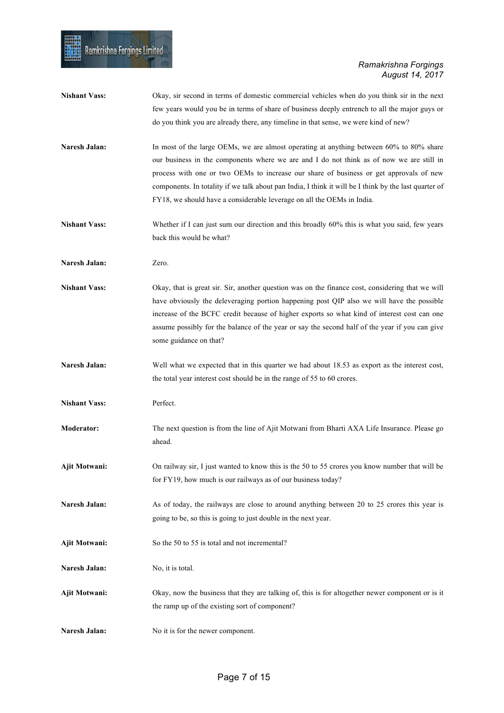疆

| <b>Nishant Vass:</b> | Okay, sir second in terms of domestic commercial vehicles when do you think sir in the next<br>few years would you be in terms of share of business deeply entrench to all the major guys or<br>do you think you are already there, any timeline in that sense, we were kind of new?                                                                                                                                                                             |
|----------------------|------------------------------------------------------------------------------------------------------------------------------------------------------------------------------------------------------------------------------------------------------------------------------------------------------------------------------------------------------------------------------------------------------------------------------------------------------------------|
| Naresh Jalan:        | In most of the large OEMs, we are almost operating at anything between 60% to 80% share<br>our business in the components where we are and I do not think as of now we are still in<br>process with one or two OEMs to increase our share of business or get approvals of new<br>components. In totality if we talk about pan India, I think it will be I think by the last quarter of<br>FY18, we should have a considerable leverage on all the OEMs in India. |
| <b>Nishant Vass:</b> | Whether if I can just sum our direction and this broadly 60% this is what you said, few years<br>back this would be what?                                                                                                                                                                                                                                                                                                                                        |
| Naresh Jalan:        | Zero.                                                                                                                                                                                                                                                                                                                                                                                                                                                            |
| <b>Nishant Vass:</b> | Okay, that is great sir. Sir, another question was on the finance cost, considering that we will<br>have obviously the deleveraging portion happening post QIP also we will have the possible<br>increase of the BCFC credit because of higher exports so what kind of interest cost can one<br>assume possibly for the balance of the year or say the second half of the year if you can give<br>some guidance on that?                                         |
| Naresh Jalan:        | Well what we expected that in this quarter we had about 18.53 as export as the interest cost,<br>the total year interest cost should be in the range of 55 to 60 crores.                                                                                                                                                                                                                                                                                         |
| <b>Nishant Vass:</b> | Perfect.                                                                                                                                                                                                                                                                                                                                                                                                                                                         |
| Moderator:           | The next question is from the line of Ajit Motwani from Bharti AXA Life Insurance. Please go<br>ahead.                                                                                                                                                                                                                                                                                                                                                           |
| Ajit Motwani:        | On railway sir, I just wanted to know this is the 50 to 55 crores you know number that will be<br>for FY19, how much is our railways as of our business today?                                                                                                                                                                                                                                                                                                   |
| Naresh Jalan:        | As of today, the railways are close to around anything between 20 to 25 crores this year is<br>going to be, so this is going to just double in the next year.                                                                                                                                                                                                                                                                                                    |
| Ajit Motwani:        | So the 50 to 55 is total and not incremental?                                                                                                                                                                                                                                                                                                                                                                                                                    |
| Naresh Jalan:        | No, it is total.                                                                                                                                                                                                                                                                                                                                                                                                                                                 |
| Ajit Motwani:        | Okay, now the business that they are talking of, this is for altogether newer component or is it<br>the ramp up of the existing sort of component?                                                                                                                                                                                                                                                                                                               |
| Naresh Jalan:        | No it is for the newer component.                                                                                                                                                                                                                                                                                                                                                                                                                                |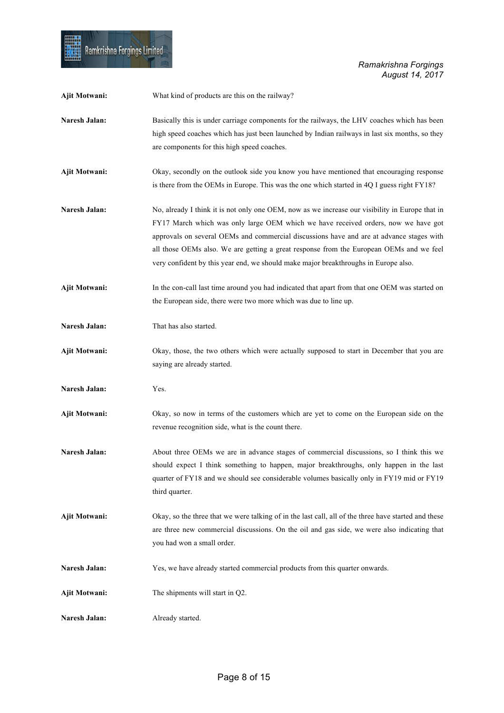**HIER** 

| Ajit Motwani:        | What kind of products are this on the railway?                                                                                                                                                                                                                                                                                                                                                                                                                      |
|----------------------|---------------------------------------------------------------------------------------------------------------------------------------------------------------------------------------------------------------------------------------------------------------------------------------------------------------------------------------------------------------------------------------------------------------------------------------------------------------------|
| Naresh Jalan:        | Basically this is under carriage components for the railways, the LHV coaches which has been<br>high speed coaches which has just been launched by Indian railways in last six months, so they<br>are components for this high speed coaches.                                                                                                                                                                                                                       |
| Ajit Motwani:        | Okay, secondly on the outlook side you know you have mentioned that encouraging response<br>is there from the OEMs in Europe. This was the one which started in 4Q I guess right FY18?                                                                                                                                                                                                                                                                              |
| <b>Naresh Jalan:</b> | No, already I think it is not only one OEM, now as we increase our visibility in Europe that in<br>FY17 March which was only large OEM which we have received orders, now we have got<br>approvals on several OEMs and commercial discussions have and are at advance stages with<br>all those OEMs also. We are getting a great response from the European OEMs and we feel<br>very confident by this year end, we should make major breakthroughs in Europe also. |
| Ajit Motwani:        | In the con-call last time around you had indicated that apart from that one OEM was started on<br>the European side, there were two more which was due to line up.                                                                                                                                                                                                                                                                                                  |
| Naresh Jalan:        | That has also started.                                                                                                                                                                                                                                                                                                                                                                                                                                              |
| Ajit Motwani:        | Okay, those, the two others which were actually supposed to start in December that you are<br>saying are already started.                                                                                                                                                                                                                                                                                                                                           |
| Naresh Jalan:        | Yes.                                                                                                                                                                                                                                                                                                                                                                                                                                                                |
| Ajit Motwani:        | Okay, so now in terms of the customers which are yet to come on the European side on the<br>revenue recognition side, what is the count there.                                                                                                                                                                                                                                                                                                                      |
| Naresh Jalan:        | About three OEMs we are in advance stages of commercial discussions, so I think this we<br>should expect I think something to happen, major breakthroughs, only happen in the last<br>quarter of FY18 and we should see considerable volumes basically only in FY19 mid or FY19<br>third quarter.                                                                                                                                                                   |
| <b>Ajit Motwani:</b> | Okay, so the three that we were talking of in the last call, all of the three have started and these<br>are three new commercial discussions. On the oil and gas side, we were also indicating that<br>you had won a small order.                                                                                                                                                                                                                                   |
| Naresh Jalan:        | Yes, we have already started commercial products from this quarter onwards.                                                                                                                                                                                                                                                                                                                                                                                         |
| Ajit Motwani:        | The shipments will start in Q2.                                                                                                                                                                                                                                                                                                                                                                                                                                     |
| Naresh Jalan:        | Already started.                                                                                                                                                                                                                                                                                                                                                                                                                                                    |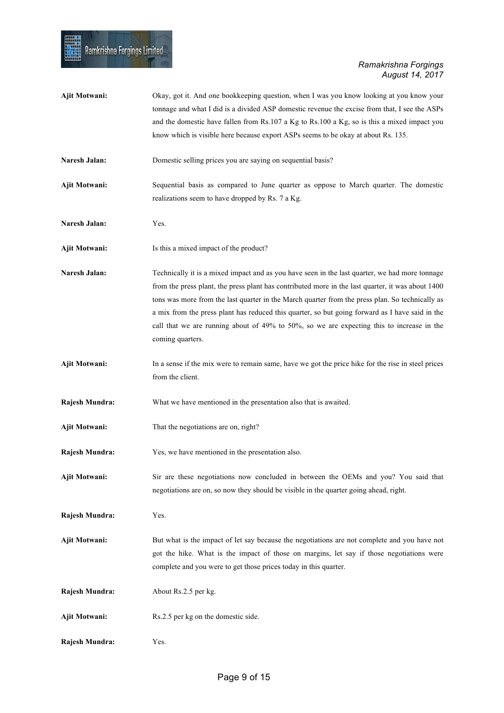| Ajit Motwani:  | Okay, got it. And one bookkeeping question, when I was you know looking at you know your<br>tonnage and what I did is a divided ASP domestic revenue the excise from that, I see the ASPs<br>and the domestic have fallen from Rs.107 a Kg to Rs.100 a Kg, so is this a mixed impact you<br>know which is visible here because export ASPs seems to be okay at about Rs. 135.                                                                                                                                              |
|----------------|----------------------------------------------------------------------------------------------------------------------------------------------------------------------------------------------------------------------------------------------------------------------------------------------------------------------------------------------------------------------------------------------------------------------------------------------------------------------------------------------------------------------------|
| Naresh Jalan:  | Domestic selling prices you are saying on sequential basis?                                                                                                                                                                                                                                                                                                                                                                                                                                                                |
| Ajit Motwani:  | Sequential basis as compared to June quarter as oppose to March quarter. The domestic<br>realizations seem to have dropped by Rs. 7 a Kg.                                                                                                                                                                                                                                                                                                                                                                                  |
| Naresh Jalan:  | Yes.                                                                                                                                                                                                                                                                                                                                                                                                                                                                                                                       |
| Ajit Motwani:  | Is this a mixed impact of the product?                                                                                                                                                                                                                                                                                                                                                                                                                                                                                     |
| Naresh Jalan:  | Technically it is a mixed impact and as you have seen in the last quarter, we had more tonnage<br>from the press plant, the press plant has contributed more in the last quarter, it was about 1400<br>tons was more from the last quarter in the March quarter from the press plan. So technically as<br>a mix from the press plant has reduced this quarter, so but going forward as I have said in the<br>call that we are running about of 49% to 50%, so we are expecting this to increase in the<br>coming quarters. |
| Ajit Motwani:  | In a sense if the mix were to remain same, have we got the price hike for the rise in steel prices<br>from the client.                                                                                                                                                                                                                                                                                                                                                                                                     |
| Rajesh Mundra: | What we have mentioned in the presentation also that is awaited.                                                                                                                                                                                                                                                                                                                                                                                                                                                           |
| Ajit Motwani:  | That the negotiations are on, right?                                                                                                                                                                                                                                                                                                                                                                                                                                                                                       |
| Rajesh Mundra: | Yes, we have mentioned in the presentation also.                                                                                                                                                                                                                                                                                                                                                                                                                                                                           |
| Ajit Motwani:  | Sir are these negotiations now concluded in between the OEMs and you? You said that<br>negotiations are on, so now they should be visible in the quarter going ahead, right.                                                                                                                                                                                                                                                                                                                                               |
| Rajesh Mundra: | Yes.                                                                                                                                                                                                                                                                                                                                                                                                                                                                                                                       |
| Ajit Motwani:  | But what is the impact of let say because the negotiations are not complete and you have not<br>got the hike. What is the impact of those on margins, let say if those negotiations were<br>complete and you were to get those prices today in this quarter.                                                                                                                                                                                                                                                               |
| Rajesh Mundra: | About Rs.2.5 per kg.                                                                                                                                                                                                                                                                                                                                                                                                                                                                                                       |
| Ajit Motwani:  | Rs.2.5 per kg on the domestic side.                                                                                                                                                                                                                                                                                                                                                                                                                                                                                        |
| Rajesh Mundra: | Yes.                                                                                                                                                                                                                                                                                                                                                                                                                                                                                                                       |

ll<br>El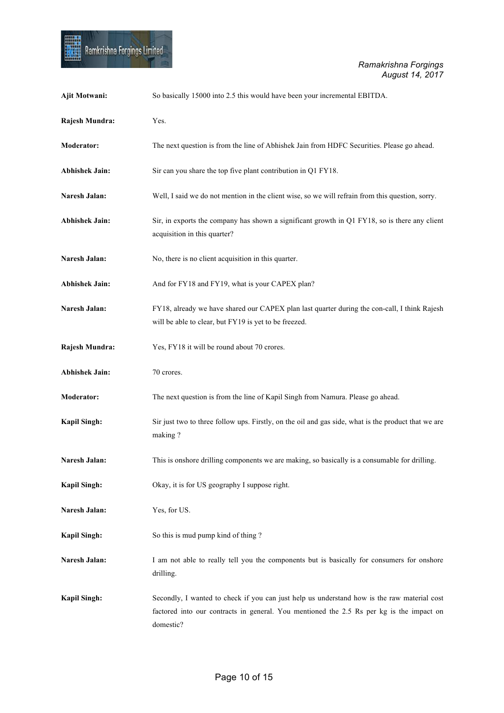

| Ajit Motwani:         | So basically 15000 into 2.5 this would have been your incremental EBITDA.                                                                                                                            |
|-----------------------|------------------------------------------------------------------------------------------------------------------------------------------------------------------------------------------------------|
| Rajesh Mundra:        | Yes.                                                                                                                                                                                                 |
| Moderator:            | The next question is from the line of Abhishek Jain from HDFC Securities. Please go ahead.                                                                                                           |
| <b>Abhishek Jain:</b> | Sir can you share the top five plant contribution in Q1 FY18.                                                                                                                                        |
| Naresh Jalan:         | Well, I said we do not mention in the client wise, so we will refrain from this question, sorry.                                                                                                     |
| <b>Abhishek Jain:</b> | Sir, in exports the company has shown a significant growth in Q1 FY18, so is there any client<br>acquisition in this quarter?                                                                        |
| Naresh Jalan:         | No, there is no client acquisition in this quarter.                                                                                                                                                  |
| <b>Abhishek Jain:</b> | And for FY18 and FY19, what is your CAPEX plan?                                                                                                                                                      |
| Naresh Jalan:         | FY18, already we have shared our CAPEX plan last quarter during the con-call, I think Rajesh<br>will be able to clear, but FY19 is yet to be freezed.                                                |
| Rajesh Mundra:        | Yes, FY18 it will be round about 70 crores.                                                                                                                                                          |
| <b>Abhishek Jain:</b> | 70 crores.                                                                                                                                                                                           |
| Moderator:            | The next question is from the line of Kapil Singh from Namura. Please go ahead.                                                                                                                      |
| <b>Kapil Singh:</b>   | Sir just two to three follow ups. Firstly, on the oil and gas side, what is the product that we are<br>making?                                                                                       |
| Naresh Jalan:         | This is onshore drilling components we are making, so basically is a consumable for drilling.                                                                                                        |
| <b>Kapil Singh:</b>   | Okay, it is for US geography I suppose right.                                                                                                                                                        |
| Naresh Jalan:         | Yes, for US.                                                                                                                                                                                         |
| <b>Kapil Singh:</b>   | So this is mud pump kind of thing?                                                                                                                                                                   |
| Naresh Jalan:         | I am not able to really tell you the components but is basically for consumers for onshore<br>drilling.                                                                                              |
| <b>Kapil Singh:</b>   | Secondly, I wanted to check if you can just help us understand how is the raw material cost<br>factored into our contracts in general. You mentioned the 2.5 Rs per kg is the impact on<br>domestic? |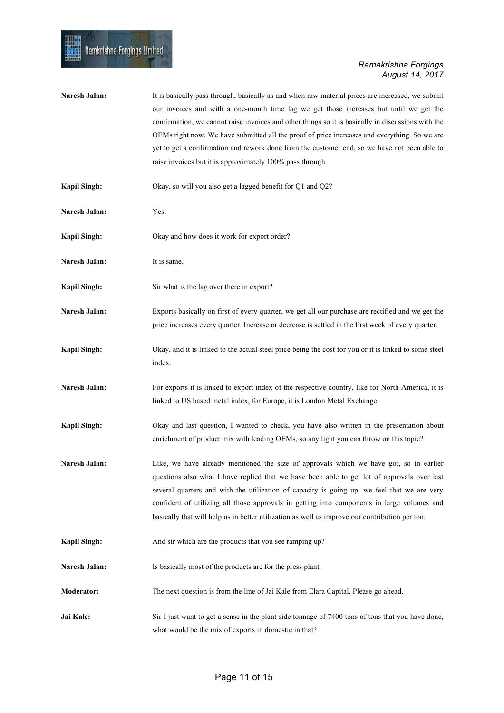| Naresh Jalan:       | It is basically pass through, basically as and when raw material prices are increased, we submit<br>our invoices and with a one-month time lag we get those increases but until we get the<br>confirmation, we cannot raise invoices and other things so it is basically in discussions with the<br>OEMs right now. We have submitted all the proof of price increases and everything. So we are<br>yet to get a confirmation and rework done from the customer end, so we have not been able to<br>raise invoices but it is approximately 100% pass through. |
|---------------------|---------------------------------------------------------------------------------------------------------------------------------------------------------------------------------------------------------------------------------------------------------------------------------------------------------------------------------------------------------------------------------------------------------------------------------------------------------------------------------------------------------------------------------------------------------------|
| <b>Kapil Singh:</b> | Okay, so will you also get a lagged benefit for Q1 and Q2?                                                                                                                                                                                                                                                                                                                                                                                                                                                                                                    |
| Naresh Jalan:       | Yes.                                                                                                                                                                                                                                                                                                                                                                                                                                                                                                                                                          |
| <b>Kapil Singh:</b> | Okay and how does it work for export order?                                                                                                                                                                                                                                                                                                                                                                                                                                                                                                                   |
| Naresh Jalan:       | It is same.                                                                                                                                                                                                                                                                                                                                                                                                                                                                                                                                                   |
| <b>Kapil Singh:</b> | Sir what is the lag over there in export?                                                                                                                                                                                                                                                                                                                                                                                                                                                                                                                     |
| Naresh Jalan:       | Exports basically on first of every quarter, we get all our purchase are rectified and we get the<br>price increases every quarter. Increase or decrease is settled in the first week of every quarter.                                                                                                                                                                                                                                                                                                                                                       |
| <b>Kapil Singh:</b> | Okay, and it is linked to the actual steel price being the cost for you or it is linked to some steel<br>index.                                                                                                                                                                                                                                                                                                                                                                                                                                               |
| Naresh Jalan:       | For exports it is linked to export index of the respective country, like for North America, it is<br>linked to US based metal index, for Europe, it is London Metal Exchange.                                                                                                                                                                                                                                                                                                                                                                                 |
| <b>Kapil Singh:</b> | Okay and last question, I wanted to check, you have also written in the presentation about<br>enrichment of product mix with leading OEMs, so any light you can throw on this topic?                                                                                                                                                                                                                                                                                                                                                                          |
| Naresh Jalan:       | Like, we have already mentioned the size of approvals which we have got, so in earlier<br>questions also what I have replied that we have been able to get lot of approvals over last<br>several quarters and with the utilization of capacity is going up, we feel that we are very<br>confident of utilizing all those approvals in getting into components in large volumes and<br>basically that will help us in better utilization as well as improve our contribution per ton.                                                                          |
| <b>Kapil Singh:</b> | And sir which are the products that you see ramping up?                                                                                                                                                                                                                                                                                                                                                                                                                                                                                                       |
| Naresh Jalan:       | Is basically most of the products are for the press plant.                                                                                                                                                                                                                                                                                                                                                                                                                                                                                                    |
| Moderator:          | The next question is from the line of Jai Kale from Elara Capital. Please go ahead.                                                                                                                                                                                                                                                                                                                                                                                                                                                                           |
| Jai Kale:           | Sir I just want to get a sense in the plant side tonnage of 7400 tons of tons that you have done,<br>what would be the mix of exports in domestic in that?                                                                                                                                                                                                                                                                                                                                                                                                    |

Ramkrishna Forgings Limited

Ħ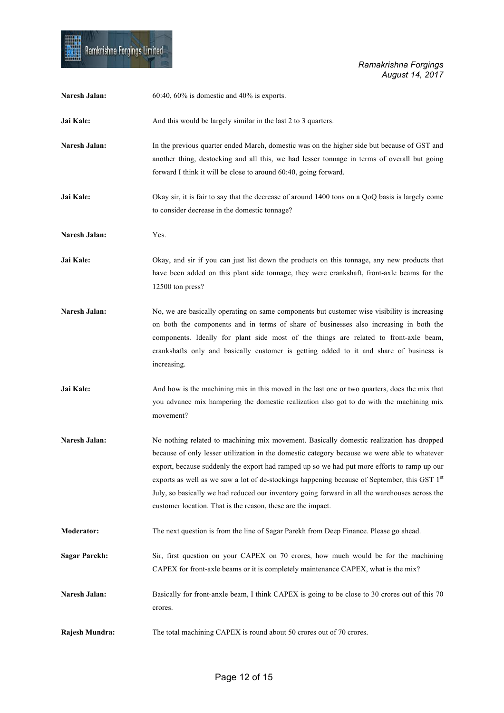

| Naresh Jalan:        | $60:40$ , $60\%$ is domestic and $40\%$ is exports.                                                                                                                                                                                                                                                                                                                                                                                                                                                                                                                   |
|----------------------|-----------------------------------------------------------------------------------------------------------------------------------------------------------------------------------------------------------------------------------------------------------------------------------------------------------------------------------------------------------------------------------------------------------------------------------------------------------------------------------------------------------------------------------------------------------------------|
| Jai Kale:            | And this would be largely similar in the last 2 to 3 quarters.                                                                                                                                                                                                                                                                                                                                                                                                                                                                                                        |
| Naresh Jalan:        | In the previous quarter ended March, domestic was on the higher side but because of GST and<br>another thing, destocking and all this, we had lesser tonnage in terms of overall but going<br>forward I think it will be close to around 60:40, going forward.                                                                                                                                                                                                                                                                                                        |
| Jai Kale:            | Okay sir, it is fair to say that the decrease of around 1400 tons on a QoQ basis is largely come<br>to consider decrease in the domestic tonnage?                                                                                                                                                                                                                                                                                                                                                                                                                     |
| Naresh Jalan:        | Yes.                                                                                                                                                                                                                                                                                                                                                                                                                                                                                                                                                                  |
| Jai Kale:            | Okay, and sir if you can just list down the products on this tonnage, any new products that<br>have been added on this plant side tonnage, they were crankshaft, front-axle beams for the<br>12500 ton press?                                                                                                                                                                                                                                                                                                                                                         |
| <b>Naresh Jalan:</b> | No, we are basically operating on same components but customer wise visibility is increasing<br>on both the components and in terms of share of businesses also increasing in both the<br>components. Ideally for plant side most of the things are related to front-axle beam,<br>crankshafts only and basically customer is getting added to it and share of business is<br>increasing.                                                                                                                                                                             |
| Jai Kale:            | And how is the machining mix in this moved in the last one or two quarters, does the mix that<br>you advance mix hampering the domestic realization also got to do with the machining mix<br>movement?                                                                                                                                                                                                                                                                                                                                                                |
| Naresh Jalan:        | No nothing related to machining mix movement. Basically domestic realization has dropped<br>because of only lesser utilization in the domestic category because we were able to whatever<br>export, because suddenly the export had ramped up so we had put more efforts to ramp up our<br>exports as well as we saw a lot of de-stockings happening because of September, this GST 1 <sup>st</sup><br>July, so basically we had reduced our inventory going forward in all the warehouses across the<br>customer location. That is the reason, these are the impact. |
| Moderator:           | The next question is from the line of Sagar Parekh from Deep Finance. Please go ahead.                                                                                                                                                                                                                                                                                                                                                                                                                                                                                |
| <b>Sagar Parekh:</b> | Sir, first question on your CAPEX on 70 crores, how much would be for the machining<br>CAPEX for front-axle beams or it is completely maintenance CAPEX, what is the mix?                                                                                                                                                                                                                                                                                                                                                                                             |
| Naresh Jalan:        | Basically for front-anxle beam, I think CAPEX is going to be close to 30 crores out of this 70<br>crores.                                                                                                                                                                                                                                                                                                                                                                                                                                                             |
| Rajesh Mundra:       | The total machining CAPEX is round about 50 crores out of 70 crores.                                                                                                                                                                                                                                                                                                                                                                                                                                                                                                  |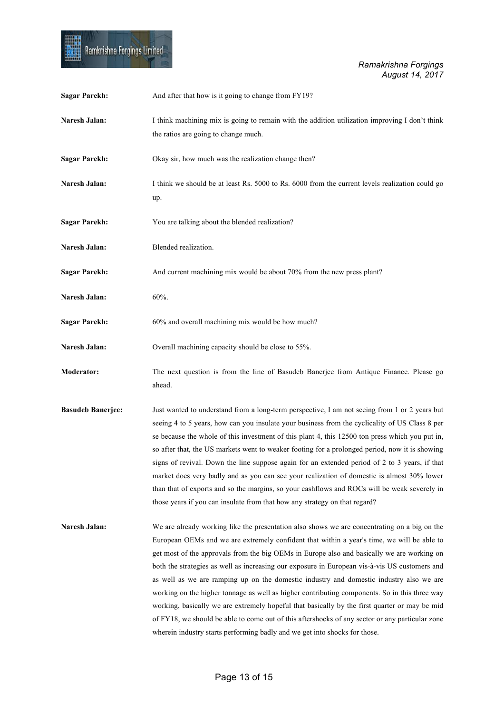

| <b>Sagar Parekh:</b>     | And after that how is it going to change from FY19?                                                                                                                                                                                                                                                                                                                                                                                                                                                                                                                                                                                                                                                                                                                                                                                                                     |
|--------------------------|-------------------------------------------------------------------------------------------------------------------------------------------------------------------------------------------------------------------------------------------------------------------------------------------------------------------------------------------------------------------------------------------------------------------------------------------------------------------------------------------------------------------------------------------------------------------------------------------------------------------------------------------------------------------------------------------------------------------------------------------------------------------------------------------------------------------------------------------------------------------------|
| Naresh Jalan:            | I think machining mix is going to remain with the addition utilization improving I don't think<br>the ratios are going to change much.                                                                                                                                                                                                                                                                                                                                                                                                                                                                                                                                                                                                                                                                                                                                  |
| <b>Sagar Parekh:</b>     | Okay sir, how much was the realization change then?                                                                                                                                                                                                                                                                                                                                                                                                                                                                                                                                                                                                                                                                                                                                                                                                                     |
| Naresh Jalan:            | I think we should be at least Rs. 5000 to Rs. 6000 from the current levels realization could go<br>up.                                                                                                                                                                                                                                                                                                                                                                                                                                                                                                                                                                                                                                                                                                                                                                  |
| <b>Sagar Parekh:</b>     | You are talking about the blended realization?                                                                                                                                                                                                                                                                                                                                                                                                                                                                                                                                                                                                                                                                                                                                                                                                                          |
| Naresh Jalan:            | Blended realization.                                                                                                                                                                                                                                                                                                                                                                                                                                                                                                                                                                                                                                                                                                                                                                                                                                                    |
| <b>Sagar Parekh:</b>     | And current machining mix would be about 70% from the new press plant?                                                                                                                                                                                                                                                                                                                                                                                                                                                                                                                                                                                                                                                                                                                                                                                                  |
| Naresh Jalan:            | 60%.                                                                                                                                                                                                                                                                                                                                                                                                                                                                                                                                                                                                                                                                                                                                                                                                                                                                    |
| <b>Sagar Parekh:</b>     | 60% and overall machining mix would be how much?                                                                                                                                                                                                                                                                                                                                                                                                                                                                                                                                                                                                                                                                                                                                                                                                                        |
| Naresh Jalan:            | Overall machining capacity should be close to 55%.                                                                                                                                                                                                                                                                                                                                                                                                                                                                                                                                                                                                                                                                                                                                                                                                                      |
| <b>Moderator:</b>        | The next question is from the line of Basudeb Banerjee from Antique Finance. Please go<br>ahead.                                                                                                                                                                                                                                                                                                                                                                                                                                                                                                                                                                                                                                                                                                                                                                        |
| <b>Basudeb Banerjee:</b> | Just wanted to understand from a long-term perspective, I am not seeing from 1 or 2 years but<br>seeing 4 to 5 years, how can you insulate your business from the cyclicality of US Class 8 per<br>se because the whole of this investment of this plant 4, this 12500 ton press which you put in,<br>so after that, the US markets went to weaker footing for a prolonged period, now it is showing<br>signs of revival. Down the line suppose again for an extended period of 2 to 3 years, if that<br>market does very badly and as you can see your realization of domestic is almost 30% lower<br>than that of exports and so the margins, so your cashflows and ROCs will be weak severely in<br>those years if you can insulate from that how any strategy on that regard?                                                                                       |
| Naresh Jalan:            | We are already working like the presentation also shows we are concentrating on a big on the<br>European OEMs and we are extremely confident that within a year's time, we will be able to<br>get most of the approvals from the big OEMs in Europe also and basically we are working on<br>both the strategies as well as increasing our exposure in European vis-à-vis US customers and<br>as well as we are ramping up on the domestic industry and domestic industry also we are<br>working on the higher tonnage as well as higher contributing components. So in this three way<br>working, basically we are extremely hopeful that basically by the first quarter or may be mid<br>of FY18, we should be able to come out of this aftershocks of any sector or any particular zone<br>wherein industry starts performing badly and we get into shocks for those. |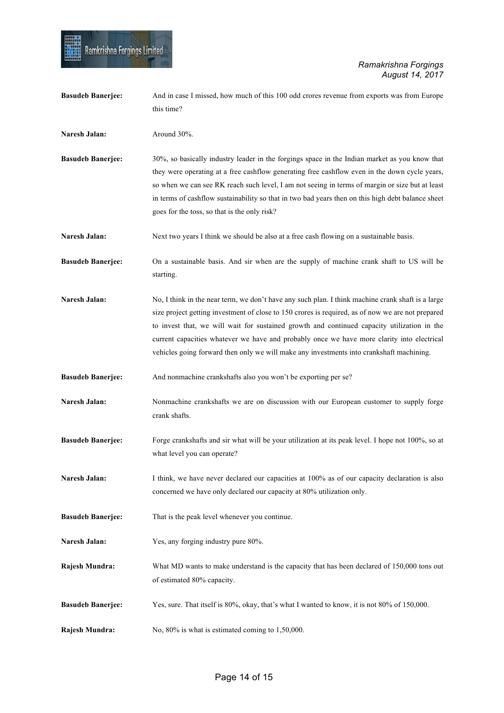| <b>Basudeb Banerjee:</b> | And in case I missed, how much of this 100 odd crores revenue from exports was from Europe<br>this time?                                                                                                                                                                                                                                                                                                                                                                                        |
|--------------------------|-------------------------------------------------------------------------------------------------------------------------------------------------------------------------------------------------------------------------------------------------------------------------------------------------------------------------------------------------------------------------------------------------------------------------------------------------------------------------------------------------|
| Naresh Jalan:            | Around 30%.                                                                                                                                                                                                                                                                                                                                                                                                                                                                                     |
| <b>Basudeb Banerjee:</b> | 30%, so basically industry leader in the forgings space in the Indian market as you know that<br>they were operating at a free cashflow generating free cashflow even in the down cycle years,<br>so when we can see RK reach such level, I am not seeing in terms of margin or size but at least<br>in terms of cashflow sustainability so that in two bad years then on this high debt balance sheet<br>goes for the toss, so that is the only risk?                                          |
| Naresh Jalan:            | Next two years I think we should be also at a free cash flowing on a sustainable basis.                                                                                                                                                                                                                                                                                                                                                                                                         |
| <b>Basudeb Banerjee:</b> | On a sustainable basis. And sir when are the supply of machine crank shaft to US will be<br>starting.                                                                                                                                                                                                                                                                                                                                                                                           |
| <b>Naresh Jalan:</b>     | No, I think in the near term, we don't have any such plan. I think machine crank shaft is a large<br>size project getting investment of close to 150 crores is required, as of now we are not prepared<br>to invest that, we will wait for sustained growth and continued capacity utilization in the<br>current capacities whatever we have and probably once we have more clarity into electrical<br>vehicles going forward then only we will make any investments into crankshaft machining. |
| <b>Basudeb Banerjee:</b> | And nonmachine crankshafts also you won't be exporting per se?                                                                                                                                                                                                                                                                                                                                                                                                                                  |
| Naresh Jalan:            | Nonmachine crankshafts we are on discussion with our European customer to supply forge<br>crank shafts.                                                                                                                                                                                                                                                                                                                                                                                         |
| <b>Basudeb Banerjee:</b> | Forge crankshafts and sir what will be your utilization at its peak level. I hope not 100%, so at<br>what level you can operate?                                                                                                                                                                                                                                                                                                                                                                |
| Naresh Jalan:            | I think, we have never declared our capacities at 100% as of our capacity declaration is also<br>concerned we have only declared our capacity at 80% utilization only.                                                                                                                                                                                                                                                                                                                          |
| <b>Basudeb Banerjee:</b> | That is the peak level whenever you continue.                                                                                                                                                                                                                                                                                                                                                                                                                                                   |
| Naresh Jalan:            | Yes, any forging industry pure 80%.                                                                                                                                                                                                                                                                                                                                                                                                                                                             |
| Rajesh Mundra:           | What MD wants to make understand is the capacity that has been declared of 150,000 tons out<br>of estimated 80% capacity.                                                                                                                                                                                                                                                                                                                                                                       |
| <b>Basudeb Banerjee:</b> | Yes, sure. That itself is 80%, okay, that's what I wanted to know, it is not 80% of 150,000.                                                                                                                                                                                                                                                                                                                                                                                                    |
| Rajesh Mundra:           | No, $80\%$ is what is estimated coming to 1,50,000.                                                                                                                                                                                                                                                                                                                                                                                                                                             |

**HILL**